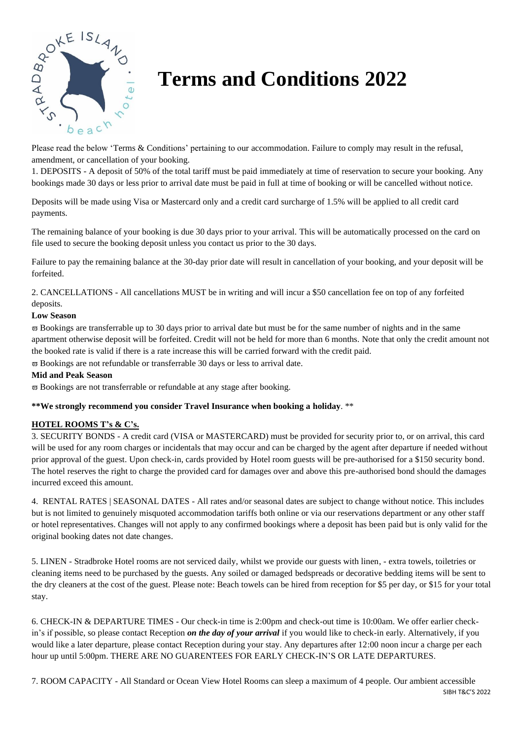

# **Terms and Conditions 2022**

Please read the below 'Terms & Conditions' pertaining to our accommodation. Failure to comply may result in the refusal, amendment, or cancellation of your booking.

1. DEPOSITS - A deposit of 50% of the total tariff must be paid immediately at time of reservation to secure your booking. Any bookings made 30 days or less prior to arrival date must be paid in full at time of booking or will be cancelled without notice.

Deposits will be made using Visa or Mastercard only and a credit card surcharge of 1.5% will be applied to all credit card payments.

The remaining balance of your booking is due 30 days prior to your arrival. This will be automatically processed on the card on file used to secure the booking deposit unless you contact us prior to the 30 days.

Failure to pay the remaining balance at the 30-day prior date will result in cancellation of your booking, and your deposit will be forfeited.

2. CANCELLATIONS - All cancellations MUST be in writing and will incur a \$50 cancellation fee on top of any forfeited deposits.

# **Low Season**

 $\overline{\omega}$  Bookings are transferrable up to 30 days prior to arrival date but must be for the same number of nights and in the same apartment otherwise deposit will be forfeited. Credit will not be held for more than 6 months. Note that only the credit amount not the booked rate is valid if there is a rate increase this will be carried forward with the credit paid.

 $\overline{\omega}$  Bookings are not refundable or transferrable 30 days or less to arrival date.

#### **Mid and Peak Season**

Bookings are not transferrable or refundable at any stage after booking.

# **\*\*We strongly recommend you consider Travel Insurance when booking a holiday**. \*\*

# **HOTEL ROOMS T's & C's.**

3. SECURITY BONDS - A credit card (VISA or MASTERCARD) must be provided for security prior to, or on arrival, this card will be used for any room charges or incidentals that may occur and can be charged by the agent after departure if needed without prior approval of the guest. Upon check-in, cards provided by Hotel room guests will be pre-authorised for a \$150 security bond. The hotel reserves the right to charge the provided card for damages over and above this pre-authorised bond should the damages incurred exceed this amount.

4. RENTAL RATES | SEASONAL DATES - All rates and/or seasonal dates are subject to change without notice. This includes but is not limited to genuinely misquoted accommodation tariffs both online or via our reservations department or any other staff or hotel representatives. Changes will not apply to any confirmed bookings where a deposit has been paid but is only valid for the original booking dates not date changes.

5. LINEN - Stradbroke Hotel rooms are not serviced daily, whilst we provide our guests with linen, - extra towels, toiletries or cleaning items need to be purchased by the guests. Any soiled or damaged bedspreads or decorative bedding items will be sent to the dry cleaners at the cost of the guest. Please note: Beach towels can be hired from reception for \$5 per day, or \$15 for your total stay.

6. CHECK-IN & DEPARTURE TIMES - Our check-in time is 2:00pm and check-out time is 10:00am. We offer earlier checkin's if possible, so please contact Reception *on the day of your arrival* if you would like to check-in early. Alternatively, if you would like a later departure, please contact Reception during your stay. Any departures after 12:00 noon incur a charge per each hour up until 5:00pm. THERE ARE NO GUARENTEES FOR EARLY CHECK-IN'S OR LATE DEPARTURES.

SIBH T&C'S 2022 7. ROOM CAPACITY - All Standard or Ocean View Hotel Rooms can sleep a maximum of 4 people. Our ambient accessible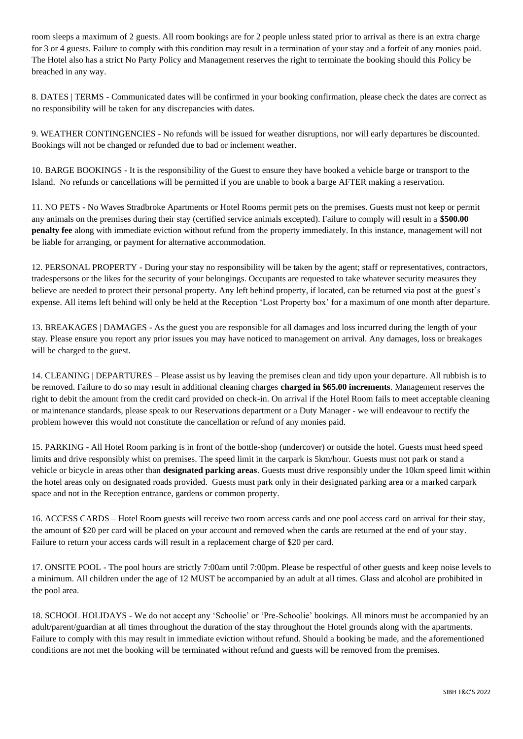room sleeps a maximum of 2 guests. All room bookings are for 2 people unless stated prior to arrival as there is an extra charge for 3 or 4 guests. Failure to comply with this condition may result in a termination of your stay and a forfeit of any monies paid. The Hotel also has a strict No Party Policy and Management reserves the right to terminate the booking should this Policy be breached in any way.

8. DATES | TERMS - Communicated dates will be confirmed in your booking confirmation, please check the dates are correct as no responsibility will be taken for any discrepancies with dates.

9. WEATHER CONTINGENCIES - No refunds will be issued for weather disruptions, nor will early departures be discounted. Bookings will not be changed or refunded due to bad or inclement weather.

10. BARGE BOOKINGS - It is the responsibility of the Guest to ensure they have booked a vehicle barge or transport to the Island. No refunds or cancellations will be permitted if you are unable to book a barge AFTER making a reservation.

11. NO PETS - No Waves Stradbroke Apartments or Hotel Rooms permit pets on the premises. Guests must not keep or permit any animals on the premises during their stay (certified service animals excepted). Failure to comply will result in a **\$500.00 penalty fee** along with immediate eviction without refund from the property immediately. In this instance, management will not be liable for arranging, or payment for alternative accommodation.

12. PERSONAL PROPERTY - During your stay no responsibility will be taken by the agent; staff or representatives, contractors, tradespersons or the likes for the security of your belongings. Occupants are requested to take whatever security measures they believe are needed to protect their personal property. Any left behind property, if located, can be returned via post at the guest's expense. All items left behind will only be held at the Reception 'Lost Property box' for a maximum of one month after departure.

13. BREAKAGES | DAMAGES - As the guest you are responsible for all damages and loss incurred during the length of your stay. Please ensure you report any prior issues you may have noticed to management on arrival. Any damages, loss or breakages will be charged to the guest.

14. CLEANING | DEPARTURES – Please assist us by leaving the premises clean and tidy upon your departure. All rubbish is to be removed. Failure to do so may result in additional cleaning charges **charged in \$65.00 increments**. Management reserves the right to debit the amount from the credit card provided on check-in. On arrival if the Hotel Room fails to meet acceptable cleaning or maintenance standards, please speak to our Reservations department or a Duty Manager - we will endeavour to rectify the problem however this would not constitute the cancellation or refund of any monies paid.

15. PARKING - All Hotel Room parking is in front of the bottle-shop (undercover) or outside the hotel. Guests must heed speed limits and drive responsibly whist on premises. The speed limit in the carpark is 5km/hour. Guests must not park or stand a vehicle or bicycle in areas other than **designated parking areas**. Guests must drive responsibly under the 10km speed limit within the hotel areas only on designated roads provided. Guests must park only in their designated parking area or a marked carpark space and not in the Reception entrance, gardens or common property.

16. ACCESS CARDS – Hotel Room guests will receive two room access cards and one pool access card on arrival for their stay, the amount of \$20 per card will be placed on your account and removed when the cards are returned at the end of your stay. Failure to return your access cards will result in a replacement charge of \$20 per card.

17. ONSITE POOL - The pool hours are strictly 7:00am until 7:00pm. Please be respectful of other guests and keep noise levels to a minimum. All children under the age of 12 MUST be accompanied by an adult at all times. Glass and alcohol are prohibited in the pool area.

18. SCHOOL HOLIDAYS - We do not accept any 'Schoolie' or 'Pre-Schoolie' bookings. All minors must be accompanied by an adult/parent/guardian at all times throughout the duration of the stay throughout the Hotel grounds along with the apartments. Failure to comply with this may result in immediate eviction without refund. Should a booking be made, and the aforementioned conditions are not met the booking will be terminated without refund and guests will be removed from the premises.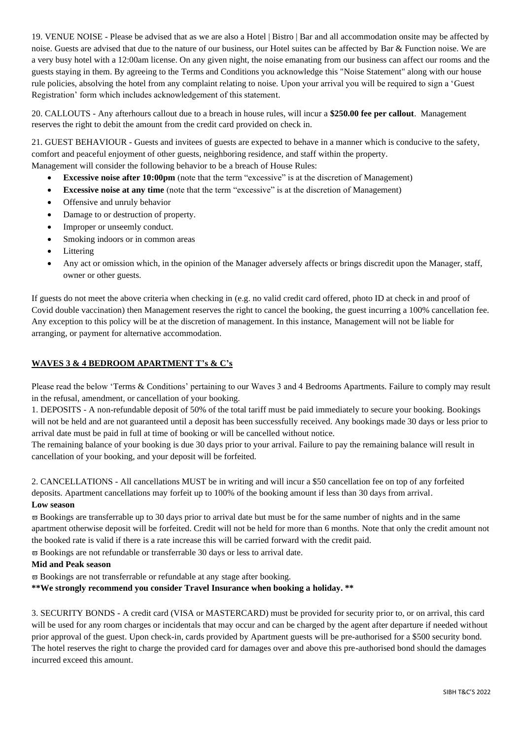19. VENUE NOISE - Please be advised that as we are also a Hotel | Bistro | Bar and all accommodation onsite may be affected by noise. Guests are advised that due to the nature of our business, our Hotel suites can be affected by Bar & Function noise. We are a very busy hotel with a 12:00am license. On any given night, the noise emanating from our business can affect our rooms and the guests staying in them. By agreeing to the Terms and Conditions you acknowledge this "Noise Statement" along with our house rule policies, absolving the hotel from any complaint relating to noise. Upon your arrival you will be required to sign a 'Guest Registration' form which includes acknowledgement of this statement.

20. CALLOUTS - Any afterhours callout due to a breach in house rules, will incur a **\$250.00 fee per callout**. Management reserves the right to debit the amount from the credit card provided on check in.

21. GUEST BEHAVIOUR - Guests and invitees of guests are expected to behave in a manner which is conducive to the safety, comfort and peaceful enjoyment of other guests, neighboring residence, and staff within the property. Management will consider the following behavior to be a breach of House Rules:

- **Excessive noise after 10:00pm** (note that the term "excessive" is at the discretion of Management)
- **Excessive noise at any time** (note that the term "excessive" is at the discretion of Management)
- Offensive and unruly behavior
- Damage to or destruction of property.
- Improper or unseemly conduct.
- Smoking indoors or in common areas
- Littering
- Any act or omission which, in the opinion of the Manager adversely affects or brings discredit upon the Manager, staff, owner or other guests.

If guests do not meet the above criteria when checking in (e.g. no valid credit card offered, photo ID at check in and proof of Covid double vaccination) then Management reserves the right to cancel the booking, the guest incurring a 100% cancellation fee. Any exception to this policy will be at the discretion of management. In this instance, Management will not be liable for arranging, or payment for alternative accommodation.

### **WAVES 3 & 4 BEDROOM APARTMENT T's & C's**

Please read the below 'Terms & Conditions' pertaining to our Waves 3 and 4 Bedrooms Apartments. Failure to comply may result in the refusal, amendment, or cancellation of your booking.

1. DEPOSITS - A non-refundable deposit of 50% of the total tariff must be paid immediately to secure your booking. Bookings will not be held and are not guaranteed until a deposit has been successfully received. Any bookings made 30 days or less prior to arrival date must be paid in full at time of booking or will be cancelled without notice.

The remaining balance of your booking is due 30 days prior to your arrival. Failure to pay the remaining balance will result in cancellation of your booking, and your deposit will be forfeited.

2. CANCELLATIONS - All cancellations MUST be in writing and will incur a \$50 cancellation fee on top of any forfeited deposits. Apartment cancellations may forfeit up to 100% of the booking amount if less than 30 days from arrival. **Low season**

 $\overline{\sigma}$  Bookings are transferrable up to 30 days prior to arrival date but must be for the same number of nights and in the same apartment otherwise deposit will be forfeited. Credit will not be held for more than 6 months. Note that only the credit amount not the booked rate is valid if there is a rate increase this will be carried forward with the credit paid.

 $\overline{\omega}$  Bookings are not refundable or transferrable 30 days or less to arrival date.

#### **Mid and Peak season**

 $\varpi$  Bookings are not transferrable or refundable at any stage after booking.

**\*\*We strongly recommend you consider Travel Insurance when booking a holiday. \*\***

3. SECURITY BONDS - A credit card (VISA or MASTERCARD) must be provided for security prior to, or on arrival, this card will be used for any room charges or incidentals that may occur and can be charged by the agent after departure if needed without prior approval of the guest. Upon check-in, cards provided by Apartment guests will be pre-authorised for a \$500 security bond. The hotel reserves the right to charge the provided card for damages over and above this pre-authorised bond should the damages incurred exceed this amount.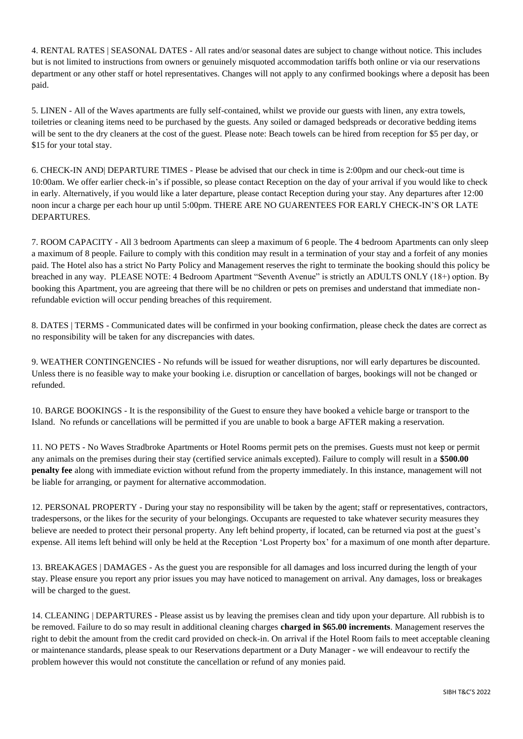4. RENTAL RATES | SEASONAL DATES - All rates and/or seasonal dates are subject to change without notice. This includes but is not limited to instructions from owners or genuinely misquoted accommodation tariffs both online or via our reservations department or any other staff or hotel representatives. Changes will not apply to any confirmed bookings where a deposit has been paid.

5. LINEN - All of the Waves apartments are fully self-contained, whilst we provide our guests with linen, any extra towels, toiletries or cleaning items need to be purchased by the guests. Any soiled or damaged bedspreads or decorative bedding items will be sent to the dry cleaners at the cost of the guest. Please note: Beach towels can be hired from reception for \$5 per day, or \$15 for your total stay.

6. CHECK-IN AND| DEPARTURE TIMES - Please be advised that our check in time is 2:00pm and our check-out time is 10:00am. We offer earlier check-in's if possible, so please contact Reception on the day of your arrival if you would like to check in early. Alternatively, if you would like a later departure, please contact Reception during your stay. Any departures after 12:00 noon incur a charge per each hour up until 5:00pm. THERE ARE NO GUARENTEES FOR EARLY CHECK-IN'S OR LATE DEPARTURES.

7. ROOM CAPACITY - All 3 bedroom Apartments can sleep a maximum of 6 people. The 4 bedroom Apartments can only sleep a maximum of 8 people. Failure to comply with this condition may result in a termination of your stay and a forfeit of any monies paid. The Hotel also has a strict No Party Policy and Management reserves the right to terminate the booking should this policy be breached in any way. PLEASE NOTE: 4 Bedroom Apartment "Seventh Avenue" is strictly an ADULTS ONLY (18+) option. By booking this Apartment, you are agreeing that there will be no children or pets on premises and understand that immediate nonrefundable eviction will occur pending breaches of this requirement.

8. DATES | TERMS - Communicated dates will be confirmed in your booking confirmation, please check the dates are correct as no responsibility will be taken for any discrepancies with dates.

9. WEATHER CONTINGENCIES - No refunds will be issued for weather disruptions, nor will early departures be discounted. Unless there is no feasible way to make your booking i.e. disruption or cancellation of barges, bookings will not be changed or refunded.

10. BARGE BOOKINGS - It is the responsibility of the Guest to ensure they have booked a vehicle barge or transport to the Island. No refunds or cancellations will be permitted if you are unable to book a barge AFTER making a reservation.

11. NO PETS - No Waves Stradbroke Apartments or Hotel Rooms permit pets on the premises. Guests must not keep or permit any animals on the premises during their stay (certified service animals excepted). Failure to comply will result in a **\$500.00 penalty fee** along with immediate eviction without refund from the property immediately. In this instance, management will not be liable for arranging, or payment for alternative accommodation.

12. PERSONAL PROPERTY - During your stay no responsibility will be taken by the agent; staff or representatives, contractors, tradespersons, or the likes for the security of your belongings. Occupants are requested to take whatever security measures they believe are needed to protect their personal property. Any left behind property, if located, can be returned via post at the guest's expense. All items left behind will only be held at the Reception 'Lost Property box' for a maximum of one month after departure.

13. BREAKAGES | DAMAGES - As the guest you are responsible for all damages and loss incurred during the length of your stay. Please ensure you report any prior issues you may have noticed to management on arrival. Any damages, loss or breakages will be charged to the guest.

14. CLEANING | DEPARTURES - Please assist us by leaving the premises clean and tidy upon your departure. All rubbish is to be removed. Failure to do so may result in additional cleaning charges **charged in \$65.00 increments**. Management reserves the right to debit the amount from the credit card provided on check-in. On arrival if the Hotel Room fails to meet acceptable cleaning or maintenance standards, please speak to our Reservations department or a Duty Manager - we will endeavour to rectify the problem however this would not constitute the cancellation or refund of any monies paid.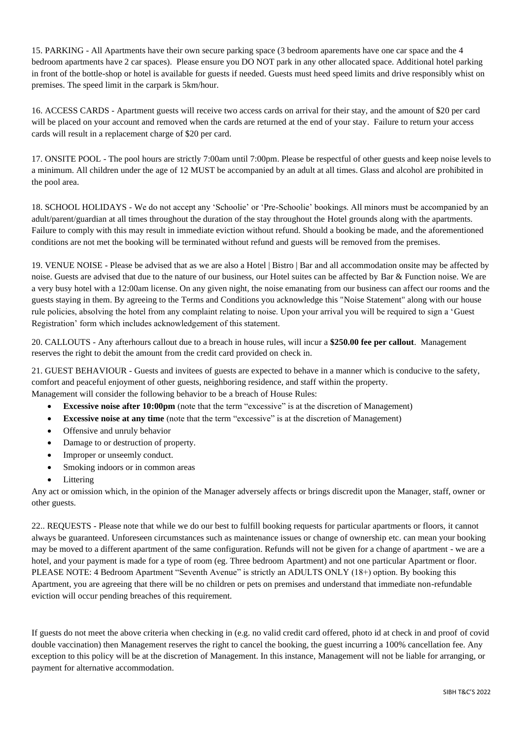15. PARKING - All Apartments have their own secure parking space (3 bedroom aparements have one car space and the 4 bedroom apartments have 2 car spaces). Please ensure you DO NOT park in any other allocated space. Additional hotel parking in front of the bottle-shop or hotel is available for guests if needed. Guests must heed speed limits and drive responsibly whist on premises. The speed limit in the carpark is 5km/hour.

16. ACCESS CARDS - Apartment guests will receive two access cards on arrival for their stay, and the amount of \$20 per card will be placed on your account and removed when the cards are returned at the end of your stay. Failure to return your access cards will result in a replacement charge of \$20 per card.

17. ONSITE POOL - The pool hours are strictly 7:00am until 7:00pm. Please be respectful of other guests and keep noise levels to a minimum. All children under the age of 12 MUST be accompanied by an adult at all times. Glass and alcohol are prohibited in the pool area.

18. SCHOOL HOLIDAYS - We do not accept any 'Schoolie' or 'Pre-Schoolie' bookings. All minors must be accompanied by an adult/parent/guardian at all times throughout the duration of the stay throughout the Hotel grounds along with the apartments. Failure to comply with this may result in immediate eviction without refund. Should a booking be made, and the aforementioned conditions are not met the booking will be terminated without refund and guests will be removed from the premises.

19. VENUE NOISE - Please be advised that as we are also a Hotel | Bistro | Bar and all accommodation onsite may be affected by noise. Guests are advised that due to the nature of our business, our Hotel suites can be affected by Bar & Function noise. We are a very busy hotel with a 12:00am license. On any given night, the noise emanating from our business can affect our rooms and the guests staying in them. By agreeing to the Terms and Conditions you acknowledge this "Noise Statement" along with our house rule policies, absolving the hotel from any complaint relating to noise. Upon your arrival you will be required to sign a 'Guest Registration' form which includes acknowledgement of this statement.

20. CALLOUTS - Any afterhours callout due to a breach in house rules, will incur a **\$250.00 fee per callout**. Management reserves the right to debit the amount from the credit card provided on check in.

21. GUEST BEHAVIOUR - Guests and invitees of guests are expected to behave in a manner which is conducive to the safety, comfort and peaceful enjoyment of other guests, neighboring residence, and staff within the property. Management will consider the following behavior to be a breach of House Rules:

- **Excessive noise after 10:00pm** (note that the term "excessive" is at the discretion of Management)
- **Excessive noise at any time** (note that the term "excessive" is at the discretion of Management)
- Offensive and unruly behavior
- Damage to or destruction of property.
- Improper or unseemly conduct.
- Smoking indoors or in common areas
- **Littering**

Any act or omission which, in the opinion of the Manager adversely affects or brings discredit upon the Manager, staff, owner or other guests.

22.. REQUESTS - Please note that while we do our best to fulfill booking requests for particular apartments or floors, it cannot always be guaranteed. Unforeseen circumstances such as maintenance issues or change of ownership etc. can mean your booking may be moved to a different apartment of the same configuration. Refunds will not be given for a change of apartment - we are a hotel, and your payment is made for a type of room (eg. Three bedroom Apartment) and not one particular Apartment or floor. PLEASE NOTE: 4 Bedroom Apartment "Seventh Avenue" is strictly an ADULTS ONLY (18+) option. By booking this Apartment, you are agreeing that there will be no children or pets on premises and understand that immediate non-refundable eviction will occur pending breaches of this requirement.

If guests do not meet the above criteria when checking in (e.g. no valid credit card offered, photo id at check in and proof of covid double vaccination) then Management reserves the right to cancel the booking, the guest incurring a 100% cancellation fee. Any exception to this policy will be at the discretion of Management. In this instance, Management will not be liable for arranging, or payment for alternative accommodation.